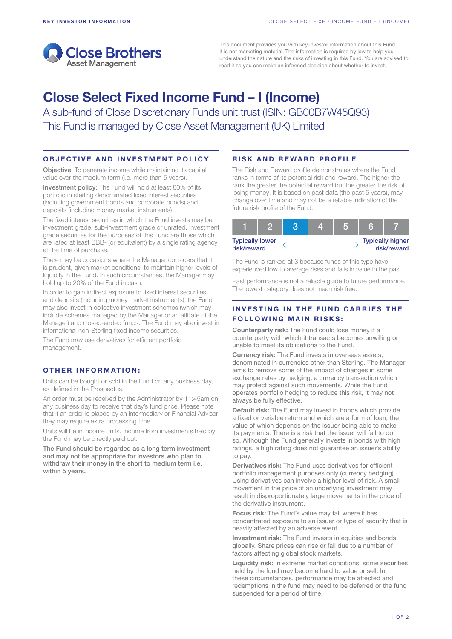

This document provides you with key investor information about this Fund. It is not marketing material. The information is required by law to help you understand the nature and the risks of investing in this Fund. You are advised to read it so you can make an informed decision about whether to invest.

# Close Select Fixed Income Fund – I (Income)

A sub-fund of Close Discretionary Funds unit trust (ISIN: GB00B7W45Q93) This Fund is managed by Close Asset Management (UK) Limited

## OBJECTIVE AND INVESTMENT POLICY

Objective: To generate income while maintaining its capital value over the medium term (i.e. more than 5 years).

Investment policy: The Fund will hold at least 80% of its portfolio in sterling denominated fixed interest securities (including government bonds and corporate bonds) and deposits (including money market instruments).

The fixed interest securities in which the Fund invests may be investment grade, sub-investment grade or unrated. Investment grade securities for the purposes of this Fund are those which are rated at least BBB- (or equivalent) by a single rating agency at the time of purchase.

There may be occasions where the Manager considers that it is prudent, given market conditions, to maintain higher levels of liquidity in the Fund. In such circumstances, the Manager may hold up to 20% of the Fund in cash.

In order to gain indirect exposure to fixed interest securities and deposits (including money market instruments), the Fund may also invest in collective investment schemes (which may include schemes managed by the Manager or an affiliate of the Manager) and closed-ended funds. The Fund may also invest in international non-Sterling fixed income securities.

The Fund may use derivatives for efficient portfolio management.

### OTHER INFORMATION:

Units can be bought or sold in the Fund on any business day, as defined in the Prospectus.

An order must be received by the Administrator by 11:45am on any business day to receive that day's fund price. Please note that if an order is placed by an intermediary or Financial Adviser they may require extra processing time.

Units will be in income units. Income from investments held by the Fund may be directly paid out.

The Fund should be regarded as a long term investment and may not be appropriate for investors who plan to withdraw their money in the short to medium term i.e. within 5 years.

# RISK AND REWARD PROFILE

The Risk and Reward profile demonstrates where the Fund ranks in terms of its potential risk and reward. The higher the rank the greater the potential reward but the greater the risk of losing money. It is based on past data (the past 5 years), may change over time and may not be a reliable indication of the future risk profile of the Fund.

| <b>Typically lower</b><br>risk/reward |  |  | <b>Typically higher</b><br>risk/reward |
|---------------------------------------|--|--|----------------------------------------|

The Fund is ranked at 3 because funds of this type have experienced low to average rises and falls in value in the past.

Past performance is not a reliable guide to future performance. The lowest category does not mean risk free.

# INVESTING IN THE FUND CARRIES THE **FOLLOWING MAIN RISKS:**

Counterparty risk: The Fund could lose money if a counterparty with which it transacts becomes unwilling or unable to meet its obligations to the Fund.

Currency risk: The Fund invests in overseas assets, denominated in currencies other than Sterling. The Manager aims to remove some of the impact of changes in some exchange rates by hedging, a currency transaction which may protect against such movements. While the Fund operates portfolio hedging to reduce this risk, it may not always be fully effective.

Default risk: The Fund may invest in bonds which provide a fixed or variable return and which are a form of loan, the value of which depends on the issuer being able to make its payments. There is a risk that the issuer will fail to do so. Although the Fund generally invests in bonds with high ratings, a high rating does not guarantee an issuer's ability to pay.

Derivatives risk: The Fund uses derivatives for efficient portfolio management purposes only (currency hedging). Using derivatives can involve a higher level of risk. A small movement in the price of an underlying investment may result in disproportionately large movements in the price of the derivative instrument.

Focus risk: The Fund's value may fall where it has concentrated exposure to an issuer or type of security that is heavily affected by an adverse event.

Investment risk: The Fund invests in equities and bonds globally. Share prices can rise or fall due to a number of factors affecting global stock markets.

Liquidity risk: In extreme market conditions, some securities held by the fund may become hard to value or sell. In these circumstances, performance may be affected and redemptions in the fund may need to be deferred or the fund suspended for a period of time.